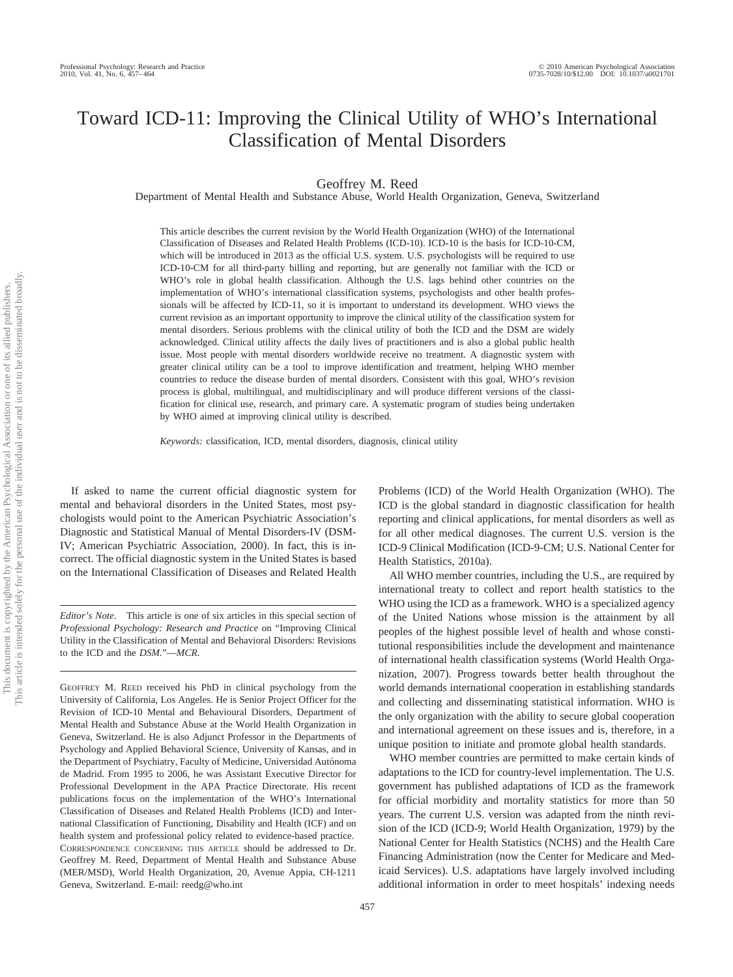# Toward ICD-11: Improving the Clinical Utility of WHO's International Classification of Mental Disorders

Geoffrey M. Reed

Department of Mental Health and Substance Abuse, World Health Organization, Geneva, Switzerland

This article describes the current revision by the World Health Organization (WHO) of the International Classification of Diseases and Related Health Problems (ICD-10). ICD-10 is the basis for ICD-10-CM, which will be introduced in 2013 as the official U.S. system. U.S. psychologists will be required to use ICD-10-CM for all third-party billing and reporting, but are generally not familiar with the ICD or WHO's role in global health classification. Although the U.S. lags behind other countries on the implementation of WHO's international classification systems, psychologists and other health professionals will be affected by ICD-11, so it is important to understand its development. WHO views the current revision as an important opportunity to improve the clinical utility of the classification system for mental disorders. Serious problems with the clinical utility of both the ICD and the DSM are widely acknowledged. Clinical utility affects the daily lives of practitioners and is also a global public health issue. Most people with mental disorders worldwide receive no treatment. A diagnostic system with greater clinical utility can be a tool to improve identification and treatment, helping WHO member countries to reduce the disease burden of mental disorders. Consistent with this goal, WHO's revision process is global, multilingual, and multidisciplinary and will produce different versions of the classification for clinical use, research, and primary care. A systematic program of studies being undertaken by WHO aimed at improving clinical utility is described.

*Keywords:* classification, ICD, mental disorders, diagnosis, clinical utility

If asked to name the current official diagnostic system for mental and behavioral disorders in the United States, most psychologists would point to the American Psychiatric Association's Diagnostic and Statistical Manual of Mental Disorders-IV (DSM-IV; American Psychiatric Association, 2000). In fact, this is incorrect. The official diagnostic system in the United States is based on the International Classification of Diseases and Related Health

*Editor's Note.* This article is one of six articles in this special section of *Professional Psychology: Research and Practice* on "Improving Clinical Utility in the Classification of Mental and Behavioral Disorders: Revisions to the ICD and the *DSM.*"—*MCR*.

GEOFFREY M. REED received his PhD in clinical psychology from the University of California, Los Angeles. He is Senior Project Officer for the Revision of ICD-10 Mental and Behavioural Disorders, Department of Mental Health and Substance Abuse at the World Health Organization in Geneva, Switzerland. He is also Adjunct Professor in the Departments of Psychology and Applied Behavioral Science, University of Kansas, and in the Department of Psychiatry, Faculty of Medicine, Universidad Autónoma de Madrid. From 1995 to 2006, he was Assistant Executive Director for Professional Development in the APA Practice Directorate. His recent publications focus on the implementation of the WHO's International Classification of Diseases and Related Health Problems (ICD) and International Classification of Functioning, Disability and Health (ICF) and on health system and professional policy related to evidence-based practice. CORRESPONDENCE CONCERNING THIS ARTICLE should be addressed to Dr. Geoffrey M. Reed, Department of Mental Health and Substance Abuse (MER/MSD), World Health Organization, 20, Avenue Appia, CH-1211 Geneva, Switzerland. E-mail: reedg@who.int

Problems (ICD) of the World Health Organization (WHO). The ICD is the global standard in diagnostic classification for health reporting and clinical applications, for mental disorders as well as for all other medical diagnoses. The current U.S. version is the ICD-9 Clinical Modification (ICD-9-CM; U.S. National Center for Health Statistics, 2010a).

All WHO member countries, including the U.S., are required by international treaty to collect and report health statistics to the WHO using the ICD as a framework. WHO is a specialized agency of the United Nations whose mission is the attainment by all peoples of the highest possible level of health and whose constitutional responsibilities include the development and maintenance of international health classification systems (World Health Organization, 2007). Progress towards better health throughout the world demands international cooperation in establishing standards and collecting and disseminating statistical information. WHO is the only organization with the ability to secure global cooperation and international agreement on these issues and is, therefore, in a unique position to initiate and promote global health standards.

WHO member countries are permitted to make certain kinds of adaptations to the ICD for country-level implementation. The U.S. government has published adaptations of ICD as the framework for official morbidity and mortality statistics for more than 50 years. The current U.S. version was adapted from the ninth revision of the ICD (ICD-9; World Health Organization, 1979) by the National Center for Health Statistics (NCHS) and the Health Care Financing Administration (now the Center for Medicare and Medicaid Services). U.S. adaptations have largely involved including additional information in order to meet hospitals' indexing needs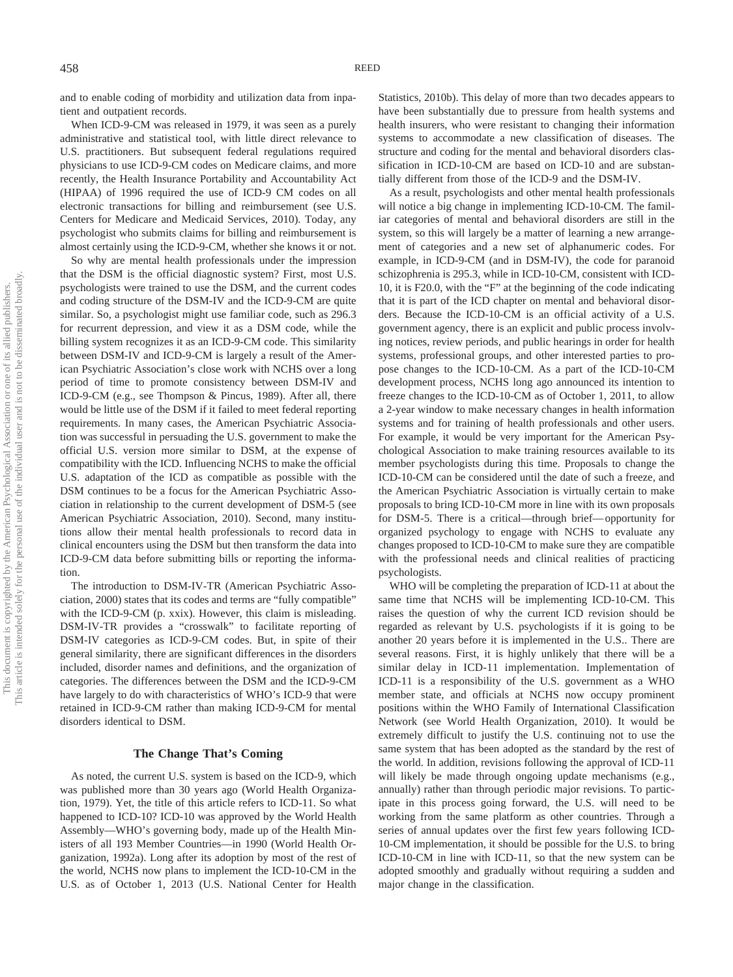and to enable coding of morbidity and utilization data from inpatient and outpatient records.

When ICD-9-CM was released in 1979, it was seen as a purely administrative and statistical tool, with little direct relevance to U.S. practitioners. But subsequent federal regulations required physicians to use ICD-9-CM codes on Medicare claims, and more recently, the Health Insurance Portability and Accountability Act (HIPAA) of 1996 required the use of ICD-9 CM codes on all electronic transactions for billing and reimbursement (see U.S. Centers for Medicare and Medicaid Services, 2010). Today, any psychologist who submits claims for billing and reimbursement is almost certainly using the ICD-9-CM, whether she knows it or not.

So why are mental health professionals under the impression that the DSM is the official diagnostic system? First, most U.S. psychologists were trained to use the DSM, and the current codes and coding structure of the DSM-IV and the ICD-9-CM are quite similar. So, a psychologist might use familiar code, such as 296.3 for recurrent depression, and view it as a DSM code, while the billing system recognizes it as an ICD-9-CM code. This similarity between DSM-IV and ICD-9-CM is largely a result of the American Psychiatric Association's close work with NCHS over a long period of time to promote consistency between DSM-IV and ICD-9-CM (e.g., see Thompson & Pincus, 1989). After all, there would be little use of the DSM if it failed to meet federal reporting requirements. In many cases, the American Psychiatric Association was successful in persuading the U.S. government to make the official U.S. version more similar to DSM, at the expense of compatibility with the ICD. Influencing NCHS to make the official U.S. adaptation of the ICD as compatible as possible with the DSM continues to be a focus for the American Psychiatric Association in relationship to the current development of DSM-5 (see American Psychiatric Association, 2010). Second, many institutions allow their mental health professionals to record data in clinical encounters using the DSM but then transform the data into ICD-9-CM data before submitting bills or reporting the information.

The introduction to DSM-IV-TR (American Psychiatric Association, 2000) states that its codes and terms are "fully compatible" with the ICD-9-CM (p. xxix). However, this claim is misleading. DSM-IV-TR provides a "crosswalk" to facilitate reporting of DSM-IV categories as ICD-9-CM codes. But, in spite of their general similarity, there are significant differences in the disorders included, disorder names and definitions, and the organization of categories. The differences between the DSM and the ICD-9-CM have largely to do with characteristics of WHO's ICD-9 that were retained in ICD-9-CM rather than making ICD-9-CM for mental disorders identical to DSM.

#### **The Change That's Coming**

As noted, the current U.S. system is based on the ICD-9, which was published more than 30 years ago (World Health Organization, 1979). Yet, the title of this article refers to ICD-11. So what happened to ICD-10? ICD-10 was approved by the World Health Assembly—WHO's governing body, made up of the Health Ministers of all 193 Member Countries—in 1990 (World Health Organization, 1992a). Long after its adoption by most of the rest of the world, NCHS now plans to implement the ICD-10-CM in the U.S. as of October 1, 2013 (U.S. National Center for Health

Statistics, 2010b). This delay of more than two decades appears to have been substantially due to pressure from health systems and health insurers, who were resistant to changing their information systems to accommodate a new classification of diseases. The structure and coding for the mental and behavioral disorders classification in ICD-10-CM are based on ICD-10 and are substantially different from those of the ICD-9 and the DSM-IV.

As a result, psychologists and other mental health professionals will notice a big change in implementing ICD-10-CM. The familiar categories of mental and behavioral disorders are still in the system, so this will largely be a matter of learning a new arrangement of categories and a new set of alphanumeric codes. For example, in ICD-9-CM (and in DSM-IV), the code for paranoid schizophrenia is 295.3, while in ICD-10-CM, consistent with ICD-10, it is F20.0, with the "F" at the beginning of the code indicating that it is part of the ICD chapter on mental and behavioral disorders. Because the ICD-10-CM is an official activity of a U.S. government agency, there is an explicit and public process involving notices, review periods, and public hearings in order for health systems, professional groups, and other interested parties to propose changes to the ICD-10-CM. As a part of the ICD-10-CM development process, NCHS long ago announced its intention to freeze changes to the ICD-10-CM as of October 1, 2011, to allow a 2-year window to make necessary changes in health information systems and for training of health professionals and other users. For example, it would be very important for the American Psychological Association to make training resources available to its member psychologists during this time. Proposals to change the ICD-10-CM can be considered until the date of such a freeze, and the American Psychiatric Association is virtually certain to make proposals to bring ICD-10-CM more in line with its own proposals for DSM-5. There is a critical—through brief— opportunity for organized psychology to engage with NCHS to evaluate any changes proposed to ICD-10-CM to make sure they are compatible with the professional needs and clinical realities of practicing psychologists.

WHO will be completing the preparation of ICD-11 at about the same time that NCHS will be implementing ICD-10-CM. This raises the question of why the current ICD revision should be regarded as relevant by U.S. psychologists if it is going to be another 20 years before it is implemented in the U.S.. There are several reasons. First, it is highly unlikely that there will be a similar delay in ICD-11 implementation. Implementation of ICD-11 is a responsibility of the U.S. government as a WHO member state, and officials at NCHS now occupy prominent positions within the WHO Family of International Classification Network (see World Health Organization, 2010). It would be extremely difficult to justify the U.S. continuing not to use the same system that has been adopted as the standard by the rest of the world. In addition, revisions following the approval of ICD-11 will likely be made through ongoing update mechanisms (e.g., annually) rather than through periodic major revisions. To participate in this process going forward, the U.S. will need to be working from the same platform as other countries. Through a series of annual updates over the first few years following ICD-10-CM implementation, it should be possible for the U.S. to bring ICD-10-CM in line with ICD-11, so that the new system can be adopted smoothly and gradually without requiring a sudden and major change in the classification.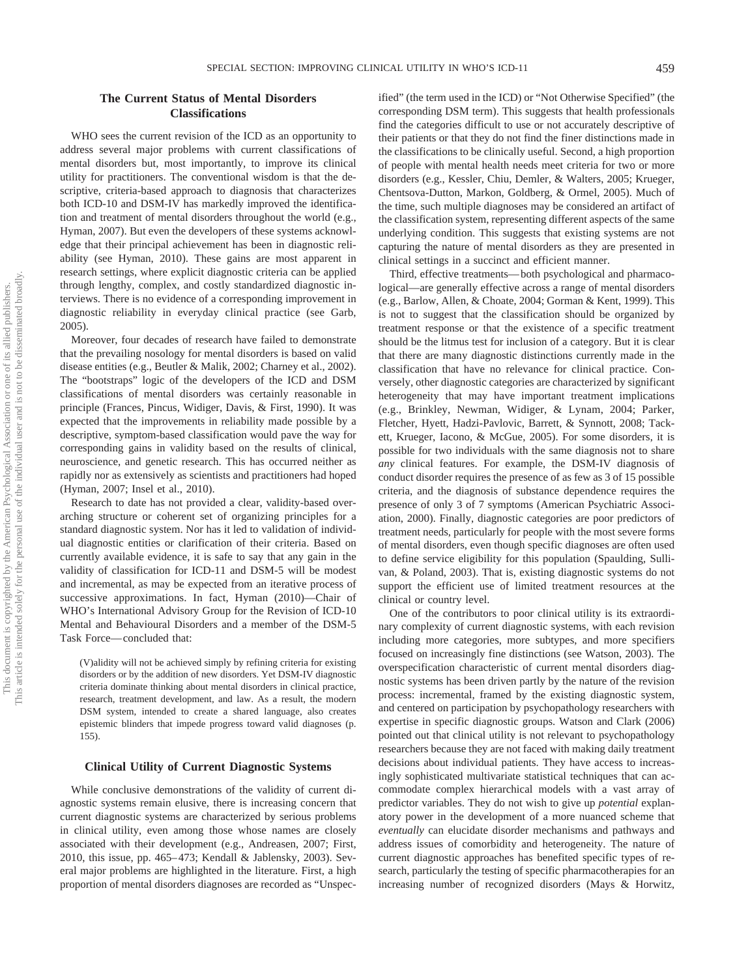# **The Current Status of Mental Disorders Classifications**

WHO sees the current revision of the ICD as an opportunity to address several major problems with current classifications of mental disorders but, most importantly, to improve its clinical utility for practitioners. The conventional wisdom is that the descriptive, criteria-based approach to diagnosis that characterizes both ICD-10 and DSM-IV has markedly improved the identification and treatment of mental disorders throughout the world (e.g., Hyman, 2007). But even the developers of these systems acknowledge that their principal achievement has been in diagnostic reliability (see Hyman, 2010). These gains are most apparent in research settings, where explicit diagnostic criteria can be applied through lengthy, complex, and costly standardized diagnostic interviews. There is no evidence of a corresponding improvement in diagnostic reliability in everyday clinical practice (see Garb, 2005).

Moreover, four decades of research have failed to demonstrate that the prevailing nosology for mental disorders is based on valid disease entities (e.g., Beutler & Malik, 2002; Charney et al., 2002). The "bootstraps" logic of the developers of the ICD and DSM classifications of mental disorders was certainly reasonable in principle (Frances, Pincus, Widiger, Davis, & First, 1990). It was expected that the improvements in reliability made possible by a descriptive, symptom-based classification would pave the way for corresponding gains in validity based on the results of clinical, neuroscience, and genetic research. This has occurred neither as rapidly nor as extensively as scientists and practitioners had hoped (Hyman, 2007; Insel et al., 2010).

Research to date has not provided a clear, validity-based overarching structure or coherent set of organizing principles for a standard diagnostic system. Nor has it led to validation of individual diagnostic entities or clarification of their criteria. Based on currently available evidence, it is safe to say that any gain in the validity of classification for ICD-11 and DSM-5 will be modest and incremental, as may be expected from an iterative process of successive approximations. In fact, Hyman (2010)—Chair of WHO's International Advisory Group for the Revision of ICD-10 Mental and Behavioural Disorders and a member of the DSM-5 Task Force— concluded that:

(V)alidity will not be achieved simply by refining criteria for existing disorders or by the addition of new disorders. Yet DSM-IV diagnostic criteria dominate thinking about mental disorders in clinical practice, research, treatment development, and law. As a result, the modern DSM system, intended to create a shared language, also creates epistemic blinders that impede progress toward valid diagnoses (p. 155).

## **Clinical Utility of Current Diagnostic Systems**

While conclusive demonstrations of the validity of current diagnostic systems remain elusive, there is increasing concern that current diagnostic systems are characterized by serious problems in clinical utility, even among those whose names are closely associated with their development (e.g., Andreasen, 2007; First, 2010, this issue, pp. 465– 473; Kendall & Jablensky, 2003). Several major problems are highlighted in the literature. First, a high proportion of mental disorders diagnoses are recorded as "Unspecified" (the term used in the ICD) or "Not Otherwise Specified" (the corresponding DSM term). This suggests that health professionals find the categories difficult to use or not accurately descriptive of their patients or that they do not find the finer distinctions made in the classifications to be clinically useful. Second, a high proportion of people with mental health needs meet criteria for two or more disorders (e.g., Kessler, Chiu, Demler, & Walters, 2005; Krueger, Chentsova-Dutton, Markon, Goldberg, & Ormel, 2005). Much of the time, such multiple diagnoses may be considered an artifact of the classification system, representing different aspects of the same underlying condition. This suggests that existing systems are not capturing the nature of mental disorders as they are presented in clinical settings in a succinct and efficient manner.

Third, effective treatments— both psychological and pharmacological—are generally effective across a range of mental disorders (e.g., Barlow, Allen, & Choate, 2004; Gorman & Kent, 1999). This is not to suggest that the classification should be organized by treatment response or that the existence of a specific treatment should be the litmus test for inclusion of a category. But it is clear that there are many diagnostic distinctions currently made in the classification that have no relevance for clinical practice. Conversely, other diagnostic categories are characterized by significant heterogeneity that may have important treatment implications (e.g., Brinkley, Newman, Widiger, & Lynam, 2004; Parker, Fletcher, Hyett, Hadzi-Pavlovic, Barrett, & Synnott, 2008; Tackett, Krueger, Iacono, & McGue, 2005). For some disorders, it is possible for two individuals with the same diagnosis not to share *any* clinical features. For example, the DSM-IV diagnosis of conduct disorder requires the presence of as few as 3 of 15 possible criteria, and the diagnosis of substance dependence requires the presence of only 3 of 7 symptoms (American Psychiatric Association, 2000). Finally, diagnostic categories are poor predictors of treatment needs, particularly for people with the most severe forms of mental disorders, even though specific diagnoses are often used to define service eligibility for this population (Spaulding, Sullivan, & Poland, 2003). That is, existing diagnostic systems do not support the efficient use of limited treatment resources at the clinical or country level.

One of the contributors to poor clinical utility is its extraordinary complexity of current diagnostic systems, with each revision including more categories, more subtypes, and more specifiers focused on increasingly fine distinctions (see Watson, 2003). The overspecification characteristic of current mental disorders diagnostic systems has been driven partly by the nature of the revision process: incremental, framed by the existing diagnostic system, and centered on participation by psychopathology researchers with expertise in specific diagnostic groups. Watson and Clark (2006) pointed out that clinical utility is not relevant to psychopathology researchers because they are not faced with making daily treatment decisions about individual patients. They have access to increasingly sophisticated multivariate statistical techniques that can accommodate complex hierarchical models with a vast array of predictor variables. They do not wish to give up *potential* explanatory power in the development of a more nuanced scheme that *eventually* can elucidate disorder mechanisms and pathways and address issues of comorbidity and heterogeneity. The nature of current diagnostic approaches has benefited specific types of research, particularly the testing of specific pharmacotherapies for an increasing number of recognized disorders (Mays & Horwitz,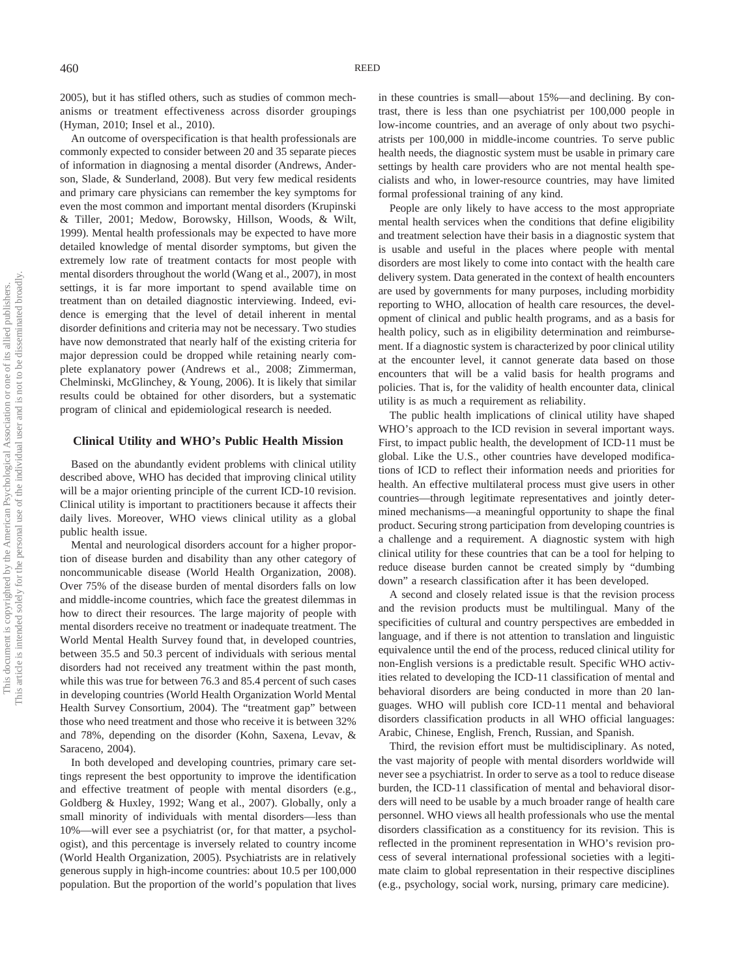2005), but it has stifled others, such as studies of common mechanisms or treatment effectiveness across disorder groupings (Hyman, 2010; Insel et al., 2010).

An outcome of overspecification is that health professionals are commonly expected to consider between 20 and 35 separate pieces of information in diagnosing a mental disorder (Andrews, Anderson, Slade, & Sunderland, 2008). But very few medical residents and primary care physicians can remember the key symptoms for even the most common and important mental disorders (Krupinski & Tiller, 2001; Medow, Borowsky, Hillson, Woods, & Wilt, 1999). Mental health professionals may be expected to have more detailed knowledge of mental disorder symptoms, but given the extremely low rate of treatment contacts for most people with mental disorders throughout the world (Wang et al., 2007), in most settings, it is far more important to spend available time on treatment than on detailed diagnostic interviewing. Indeed, evidence is emerging that the level of detail inherent in mental disorder definitions and criteria may not be necessary. Two studies have now demonstrated that nearly half of the existing criteria for major depression could be dropped while retaining nearly complete explanatory power (Andrews et al., 2008; Zimmerman, Chelminski, McGlinchey, & Young, 2006). It is likely that similar results could be obtained for other disorders, but a systematic program of clinical and epidemiological research is needed.

# **Clinical Utility and WHO's Public Health Mission**

Based on the abundantly evident problems with clinical utility described above, WHO has decided that improving clinical utility will be a major orienting principle of the current ICD-10 revision. Clinical utility is important to practitioners because it affects their daily lives. Moreover, WHO views clinical utility as a global public health issue.

Mental and neurological disorders account for a higher proportion of disease burden and disability than any other category of noncommunicable disease (World Health Organization, 2008). Over 75% of the disease burden of mental disorders falls on low and middle-income countries, which face the greatest dilemmas in how to direct their resources. The large majority of people with mental disorders receive no treatment or inadequate treatment. The World Mental Health Survey found that, in developed countries, between 35.5 and 50.3 percent of individuals with serious mental disorders had not received any treatment within the past month, while this was true for between 76.3 and 85.4 percent of such cases in developing countries (World Health Organization World Mental Health Survey Consortium, 2004). The "treatment gap" between those who need treatment and those who receive it is between 32% and 78%, depending on the disorder (Kohn, Saxena, Levav, & Saraceno, 2004).

In both developed and developing countries, primary care settings represent the best opportunity to improve the identification and effective treatment of people with mental disorders (e.g., Goldberg & Huxley, 1992; Wang et al., 2007). Globally, only a small minority of individuals with mental disorders—less than 10%—will ever see a psychiatrist (or, for that matter, a psychologist), and this percentage is inversely related to country income (World Health Organization, 2005). Psychiatrists are in relatively generous supply in high-income countries: about 10.5 per 100,000 population. But the proportion of the world's population that lives in these countries is small—about 15%—and declining. By contrast, there is less than one psychiatrist per 100,000 people in low-income countries, and an average of only about two psychiatrists per 100,000 in middle-income countries. To serve public health needs, the diagnostic system must be usable in primary care settings by health care providers who are not mental health specialists and who, in lower-resource countries, may have limited formal professional training of any kind.

People are only likely to have access to the most appropriate mental health services when the conditions that define eligibility and treatment selection have their basis in a diagnostic system that is usable and useful in the places where people with mental disorders are most likely to come into contact with the health care delivery system. Data generated in the context of health encounters are used by governments for many purposes, including morbidity reporting to WHO, allocation of health care resources, the development of clinical and public health programs, and as a basis for health policy, such as in eligibility determination and reimbursement. If a diagnostic system is characterized by poor clinical utility at the encounter level, it cannot generate data based on those encounters that will be a valid basis for health programs and policies. That is, for the validity of health encounter data, clinical utility is as much a requirement as reliability.

The public health implications of clinical utility have shaped WHO's approach to the ICD revision in several important ways. First, to impact public health, the development of ICD-11 must be global. Like the U.S., other countries have developed modifications of ICD to reflect their information needs and priorities for health. An effective multilateral process must give users in other countries—through legitimate representatives and jointly determined mechanisms—a meaningful opportunity to shape the final product. Securing strong participation from developing countries is a challenge and a requirement. A diagnostic system with high clinical utility for these countries that can be a tool for helping to reduce disease burden cannot be created simply by "dumbing down" a research classification after it has been developed.

A second and closely related issue is that the revision process and the revision products must be multilingual. Many of the specificities of cultural and country perspectives are embedded in language, and if there is not attention to translation and linguistic equivalence until the end of the process, reduced clinical utility for non-English versions is a predictable result. Specific WHO activities related to developing the ICD-11 classification of mental and behavioral disorders are being conducted in more than 20 languages. WHO will publish core ICD-11 mental and behavioral disorders classification products in all WHO official languages: Arabic, Chinese, English, French, Russian, and Spanish.

Third, the revision effort must be multidisciplinary. As noted, the vast majority of people with mental disorders worldwide will never see a psychiatrist. In order to serve as a tool to reduce disease burden, the ICD-11 classification of mental and behavioral disorders will need to be usable by a much broader range of health care personnel. WHO views all health professionals who use the mental disorders classification as a constituency for its revision. This is reflected in the prominent representation in WHO's revision process of several international professional societies with a legitimate claim to global representation in their respective disciplines (e.g., psychology, social work, nursing, primary care medicine).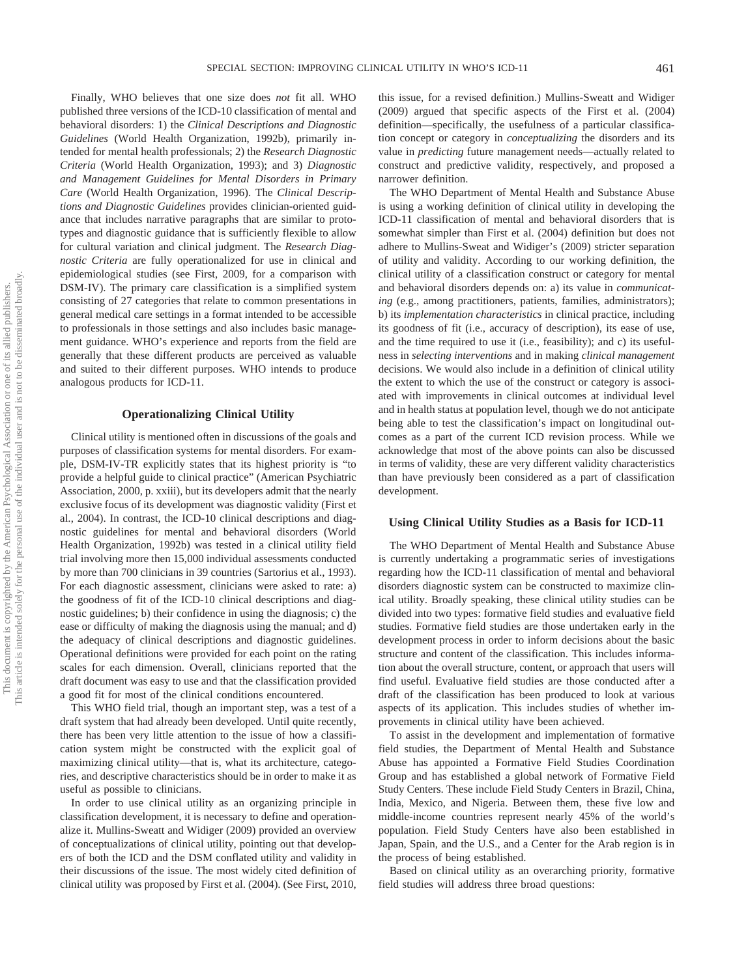Finally, WHO believes that one size does *not* fit all. WHO published three versions of the ICD-10 classification of mental and behavioral disorders: 1) the *Clinical Descriptions and Diagnostic Guidelines* (World Health Organization, 1992b), primarily intended for mental health professionals; 2) the *Research Diagnostic Criteria* (World Health Organization, 1993); and 3) *Diagnostic and Management Guidelines for Mental Disorders in Primary Care* (World Health Organization, 1996). The *Clinical Descriptions and Diagnostic Guidelines* provides clinician-oriented guidance that includes narrative paragraphs that are similar to prototypes and diagnostic guidance that is sufficiently flexible to allow for cultural variation and clinical judgment. The *Research Diagnostic Criteria* are fully operationalized for use in clinical and epidemiological studies (see First, 2009, for a comparison with DSM-IV). The primary care classification is a simplified system consisting of 27 categories that relate to common presentations in general medical care settings in a format intended to be accessible to professionals in those settings and also includes basic management guidance. WHO's experience and reports from the field are generally that these different products are perceived as valuable and suited to their different purposes. WHO intends to produce analogous products for ICD-11.

# **Operationalizing Clinical Utility**

Clinical utility is mentioned often in discussions of the goals and purposes of classification systems for mental disorders. For example, DSM-IV-TR explicitly states that its highest priority is "to provide a helpful guide to clinical practice" (American Psychiatric Association, 2000, p. xxiii), but its developers admit that the nearly exclusive focus of its development was diagnostic validity (First et al., 2004). In contrast, the ICD-10 clinical descriptions and diagnostic guidelines for mental and behavioral disorders (World Health Organization, 1992b) was tested in a clinical utility field trial involving more then 15,000 individual assessments conducted by more than 700 clinicians in 39 countries (Sartorius et al., 1993). For each diagnostic assessment, clinicians were asked to rate: a) the goodness of fit of the ICD-10 clinical descriptions and diagnostic guidelines; b) their confidence in using the diagnosis; c) the ease or difficulty of making the diagnosis using the manual; and d) the adequacy of clinical descriptions and diagnostic guidelines. Operational definitions were provided for each point on the rating scales for each dimension. Overall, clinicians reported that the draft document was easy to use and that the classification provided a good fit for most of the clinical conditions encountered.

This WHO field trial, though an important step, was a test of a draft system that had already been developed. Until quite recently, there has been very little attention to the issue of how a classification system might be constructed with the explicit goal of maximizing clinical utility—that is, what its architecture, categories, and descriptive characteristics should be in order to make it as useful as possible to clinicians.

In order to use clinical utility as an organizing principle in classification development, it is necessary to define and operationalize it. Mullins-Sweatt and Widiger (2009) provided an overview of conceptualizations of clinical utility, pointing out that developers of both the ICD and the DSM conflated utility and validity in their discussions of the issue. The most widely cited definition of clinical utility was proposed by First et al. (2004). (See First, 2010,

this issue, for a revised definition.) Mullins-Sweatt and Widiger (2009) argued that specific aspects of the First et al. (2004) definition—specifically, the usefulness of a particular classification concept or category in *conceptualizing* the disorders and its value in *predicting* future management needs—actually related to construct and predictive validity, respectively, and proposed a narrower definition.

The WHO Department of Mental Health and Substance Abuse is using a working definition of clinical utility in developing the ICD-11 classification of mental and behavioral disorders that is somewhat simpler than First et al. (2004) definition but does not adhere to Mullins-Sweat and Widiger's (2009) stricter separation of utility and validity. According to our working definition, the clinical utility of a classification construct or category for mental and behavioral disorders depends on: a) its value in *communicating* (e.g., among practitioners, patients, families, administrators); b) its *implementation characteristics* in clinical practice, including its goodness of fit (i.e., accuracy of description), its ease of use, and the time required to use it (i.e., feasibility); and c) its usefulness in *selecting interventions* and in making *clinical management* decisions. We would also include in a definition of clinical utility the extent to which the use of the construct or category is associated with improvements in clinical outcomes at individual level and in health status at population level, though we do not anticipate being able to test the classification's impact on longitudinal outcomes as a part of the current ICD revision process. While we acknowledge that most of the above points can also be discussed in terms of validity, these are very different validity characteristics than have previously been considered as a part of classification development.

## **Using Clinical Utility Studies as a Basis for ICD-11**

The WHO Department of Mental Health and Substance Abuse is currently undertaking a programmatic series of investigations regarding how the ICD-11 classification of mental and behavioral disorders diagnostic system can be constructed to maximize clinical utility. Broadly speaking, these clinical utility studies can be divided into two types: formative field studies and evaluative field studies. Formative field studies are those undertaken early in the development process in order to inform decisions about the basic structure and content of the classification. This includes information about the overall structure, content, or approach that users will find useful. Evaluative field studies are those conducted after a draft of the classification has been produced to look at various aspects of its application. This includes studies of whether improvements in clinical utility have been achieved.

To assist in the development and implementation of formative field studies, the Department of Mental Health and Substance Abuse has appointed a Formative Field Studies Coordination Group and has established a global network of Formative Field Study Centers. These include Field Study Centers in Brazil, China, India, Mexico, and Nigeria. Between them, these five low and middle-income countries represent nearly 45% of the world's population. Field Study Centers have also been established in Japan, Spain, and the U.S., and a Center for the Arab region is in the process of being established.

Based on clinical utility as an overarching priority, formative field studies will address three broad questions: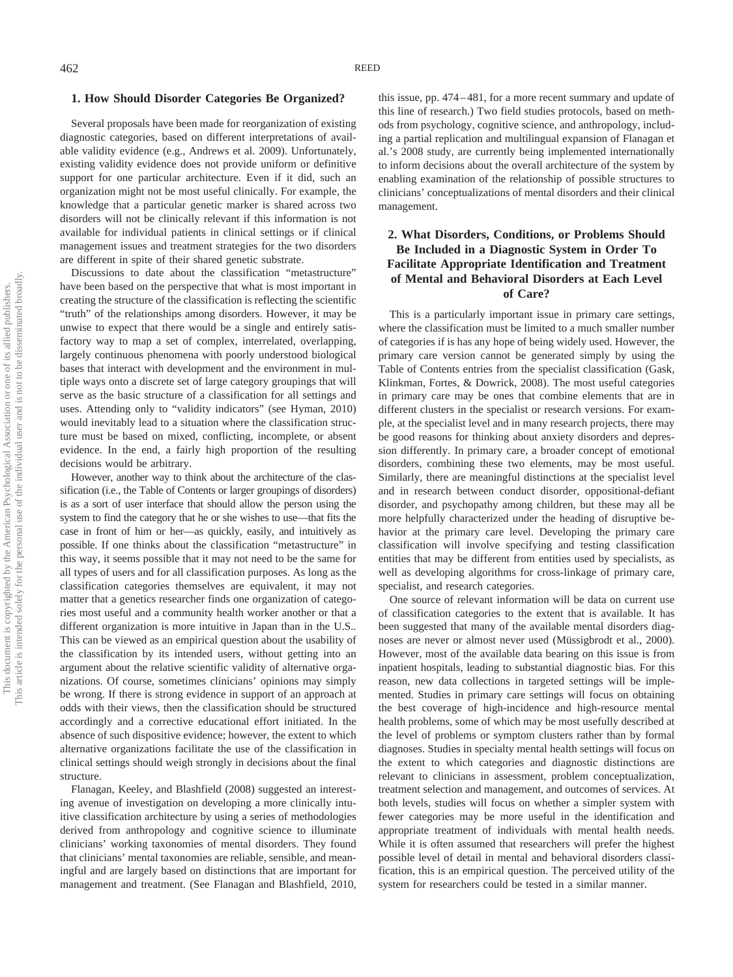#### **1. How Should Disorder Categories Be Organized?**

Several proposals have been made for reorganization of existing diagnostic categories, based on different interpretations of available validity evidence (e.g., Andrews et al. 2009). Unfortunately, existing validity evidence does not provide uniform or definitive support for one particular architecture. Even if it did, such an organization might not be most useful clinically. For example, the knowledge that a particular genetic marker is shared across two disorders will not be clinically relevant if this information is not available for individual patients in clinical settings or if clinical management issues and treatment strategies for the two disorders are different in spite of their shared genetic substrate.

Discussions to date about the classification "metastructure" have been based on the perspective that what is most important in creating the structure of the classification is reflecting the scientific "truth" of the relationships among disorders. However, it may be unwise to expect that there would be a single and entirely satisfactory way to map a set of complex, interrelated, overlapping, largely continuous phenomena with poorly understood biological bases that interact with development and the environment in multiple ways onto a discrete set of large category groupings that will serve as the basic structure of a classification for all settings and uses. Attending only to "validity indicators" (see Hyman, 2010) would inevitably lead to a situation where the classification structure must be based on mixed, conflicting, incomplete, or absent evidence. In the end, a fairly high proportion of the resulting decisions would be arbitrary.

However, another way to think about the architecture of the classification (i.e., the Table of Contents or larger groupings of disorders) is as a sort of user interface that should allow the person using the system to find the category that he or she wishes to use—that fits the case in front of him or her—as quickly, easily, and intuitively as possible. If one thinks about the classification "metastructure" in this way, it seems possible that it may not need to be the same for all types of users and for all classification purposes. As long as the classification categories themselves are equivalent, it may not matter that a genetics researcher finds one organization of categories most useful and a community health worker another or that a different organization is more intuitive in Japan than in the U.S.. This can be viewed as an empirical question about the usability of the classification by its intended users, without getting into an argument about the relative scientific validity of alternative organizations. Of course, sometimes clinicians' opinions may simply be wrong. If there is strong evidence in support of an approach at odds with their views, then the classification should be structured accordingly and a corrective educational effort initiated. In the absence of such dispositive evidence; however, the extent to which alternative organizations facilitate the use of the classification in clinical settings should weigh strongly in decisions about the final structure.

Flanagan, Keeley, and Blashfield (2008) suggested an interesting avenue of investigation on developing a more clinically intuitive classification architecture by using a series of methodologies derived from anthropology and cognitive science to illuminate clinicians' working taxonomies of mental disorders. They found that clinicians' mental taxonomies are reliable, sensible, and meaningful and are largely based on distinctions that are important for management and treatment. (See Flanagan and Blashfield, 2010, this issue, pp. 474 – 481, for a more recent summary and update of this line of research.) Two field studies protocols, based on methods from psychology, cognitive science, and anthropology, including a partial replication and multilingual expansion of Flanagan et al.'s 2008 study, are currently being implemented internationally to inform decisions about the overall architecture of the system by enabling examination of the relationship of possible structures to clinicians' conceptualizations of mental disorders and their clinical management.

# **2. What Disorders, Conditions, or Problems Should Be Included in a Diagnostic System in Order To Facilitate Appropriate Identification and Treatment of Mental and Behavioral Disorders at Each Level of Care?**

This is a particularly important issue in primary care settings, where the classification must be limited to a much smaller number of categories if is has any hope of being widely used. However, the primary care version cannot be generated simply by using the Table of Contents entries from the specialist classification (Gask, Klinkman, Fortes, & Dowrick, 2008). The most useful categories in primary care may be ones that combine elements that are in different clusters in the specialist or research versions. For example, at the specialist level and in many research projects, there may be good reasons for thinking about anxiety disorders and depression differently. In primary care, a broader concept of emotional disorders, combining these two elements, may be most useful. Similarly, there are meaningful distinctions at the specialist level and in research between conduct disorder, oppositional-defiant disorder, and psychopathy among children, but these may all be more helpfully characterized under the heading of disruptive behavior at the primary care level. Developing the primary care classification will involve specifying and testing classification entities that may be different from entities used by specialists, as well as developing algorithms for cross-linkage of primary care, specialist, and research categories.

One source of relevant information will be data on current use of classification categories to the extent that is available. It has been suggested that many of the available mental disorders diagnoses are never or almost never used (Müssigbrodt et al., 2000). However, most of the available data bearing on this issue is from inpatient hospitals, leading to substantial diagnostic bias. For this reason, new data collections in targeted settings will be implemented. Studies in primary care settings will focus on obtaining the best coverage of high-incidence and high-resource mental health problems, some of which may be most usefully described at the level of problems or symptom clusters rather than by formal diagnoses. Studies in specialty mental health settings will focus on the extent to which categories and diagnostic distinctions are relevant to clinicians in assessment, problem conceptualization, treatment selection and management, and outcomes of services. At both levels, studies will focus on whether a simpler system with fewer categories may be more useful in the identification and appropriate treatment of individuals with mental health needs. While it is often assumed that researchers will prefer the highest possible level of detail in mental and behavioral disorders classification, this is an empirical question. The perceived utility of the system for researchers could be tested in a similar manner.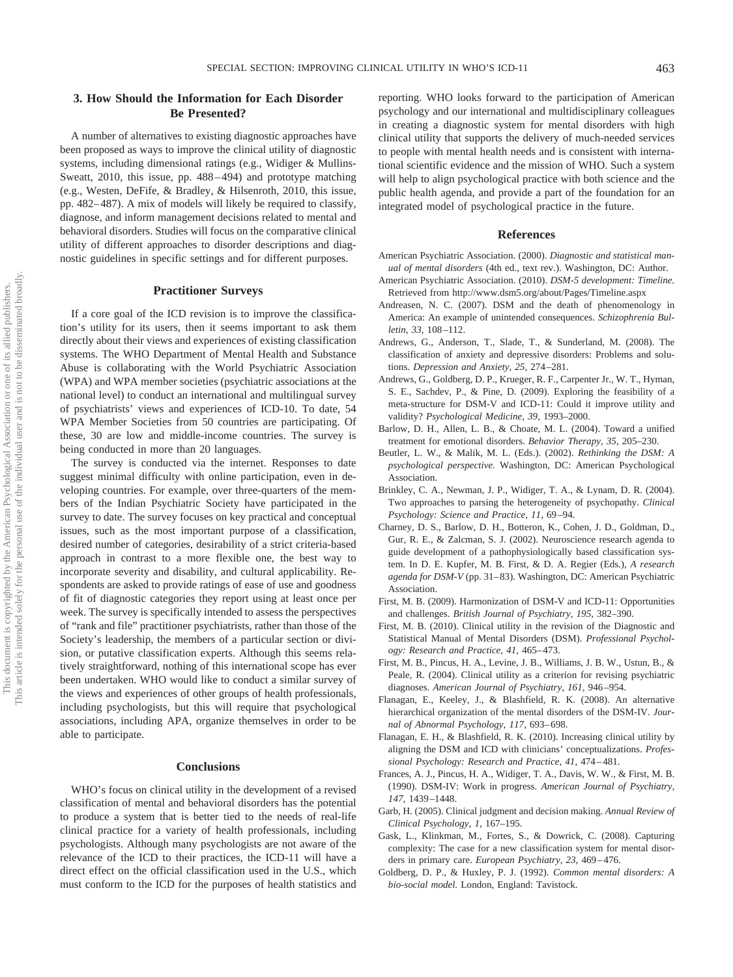# **3. How Should the Information for Each Disorder Be Presented?**

A number of alternatives to existing diagnostic approaches have been proposed as ways to improve the clinical utility of diagnostic systems, including dimensional ratings (e.g., Widiger & Mullins-Sweatt, 2010, this issue, pp. 488 – 494) and prototype matching (e.g., Westen, DeFife, & Bradley, & Hilsenroth, 2010, this issue, pp. 482– 487). A mix of models will likely be required to classify, diagnose, and inform management decisions related to mental and behavioral disorders. Studies will focus on the comparative clinical utility of different approaches to disorder descriptions and diagnostic guidelines in specific settings and for different purposes.

## **Practitioner Surveys**

If a core goal of the ICD revision is to improve the classification's utility for its users, then it seems important to ask them directly about their views and experiences of existing classification systems. The WHO Department of Mental Health and Substance Abuse is collaborating with the World Psychiatric Association (WPA) and WPA member societies (psychiatric associations at the national level) to conduct an international and multilingual survey of psychiatrists' views and experiences of ICD-10. To date, 54 WPA Member Societies from 50 countries are participating. Of these, 30 are low and middle-income countries. The survey is being conducted in more than 20 languages.

The survey is conducted via the internet. Responses to date suggest minimal difficulty with online participation, even in developing countries. For example, over three-quarters of the members of the Indian Psychiatric Society have participated in the survey to date. The survey focuses on key practical and conceptual issues, such as the most important purpose of a classification, desired number of categories, desirability of a strict criteria-based approach in contrast to a more flexible one, the best way to incorporate severity and disability, and cultural applicability. Respondents are asked to provide ratings of ease of use and goodness of fit of diagnostic categories they report using at least once per week. The survey is specifically intended to assess the perspectives of "rank and file" practitioner psychiatrists, rather than those of the Society's leadership, the members of a particular section or division, or putative classification experts. Although this seems relatively straightforward, nothing of this international scope has ever been undertaken. WHO would like to conduct a similar survey of the views and experiences of other groups of health professionals, including psychologists, but this will require that psychological associations, including APA, organize themselves in order to be able to participate.

## **Conclusions**

WHO's focus on clinical utility in the development of a revised classification of mental and behavioral disorders has the potential to produce a system that is better tied to the needs of real-life clinical practice for a variety of health professionals, including psychologists. Although many psychologists are not aware of the relevance of the ICD to their practices, the ICD-11 will have a direct effect on the official classification used in the U.S., which must conform to the ICD for the purposes of health statistics and

reporting. WHO looks forward to the participation of American psychology and our international and multidisciplinary colleagues in creating a diagnostic system for mental disorders with high clinical utility that supports the delivery of much-needed services to people with mental health needs and is consistent with international scientific evidence and the mission of WHO. Such a system will help to align psychological practice with both science and the public health agenda, and provide a part of the foundation for an integrated model of psychological practice in the future.

#### **References**

- American Psychiatric Association. (2000). *Diagnostic and statistical manual of mental disorders* (4th ed., text rev.). Washington, DC: Author.
- American Psychiatric Association. (2010). *DSM-5 development: Timeline.* Retrieved from http://www.dsm5.org/about/Pages/Timeline.aspx
- Andreasen, N. C. (2007). DSM and the death of phenomenology in America: An example of unintended consequences. *Schizophrenia Bulletin, 33,* 108 –112.
- Andrews, G., Anderson, T., Slade, T., & Sunderland, M. (2008). The classification of anxiety and depressive disorders: Problems and solutions. *Depression and Anxiety, 25,* 274 –281.
- Andrews, G., Goldberg, D. P., Krueger, R. F., Carpenter Jr., W. T., Hyman, S. E., Sachdev, P., & Pine, D. (2009). Exploring the feasibility of a meta-structure for DSM-V and ICD-11: Could it improve utility and validity? *Psychological Medicine, 39,* 1993–2000.
- Barlow, D. H., Allen, L. B., & Choate, M. L. (2004). Toward a unified treatment for emotional disorders. *Behavior Therapy, 35,* 205–230.
- Beutler, L. W., & Malik, M. L. (Eds.). (2002). *Rethinking the DSM: A psychological perspective.* Washington, DC: American Psychological Association.
- Brinkley, C. A., Newman, J. P., Widiger, T. A., & Lynam, D. R. (2004). Two approaches to parsing the heterogeneity of psychopathy. *Clinical Psychology: Science and Practice, 11,* 69 –94.
- Charney, D. S., Barlow, D. H., Botteron, K., Cohen, J. D., Goldman, D., Gur, R. E., & Zalcman, S. J. (2002). Neuroscience research agenda to guide development of a pathophysiologically based classification system. In D. E. Kupfer, M. B. First, & D. A. Regier (Eds.), *A research agenda for DSM-V* (pp. 31– 83). Washington, DC: American Psychiatric **Association**
- First, M. B. (2009). Harmonization of DSM-V and ICD-11: Opportunities and challenges. *British Journal of Psychiatry, 195,* 382–390.
- First, M. B. (2010). Clinical utility in the revision of the Diagnostic and Statistical Manual of Mental Disorders (DSM). *Professional Psychology: Research and Practice, 41,* 465– 473.
- First, M. B., Pincus, H. A., Levine, J. B., Williams, J. B. W., Ustun, B., & Peale, R. (2004). Clinical utility as a criterion for revising psychiatric diagnoses. *American Journal of Psychiatry, 161,* 946 –954.
- Flanagan, E., Keeley, J., & Blashfield, R. K. (2008). An alternative hierarchical organization of the mental disorders of the DSM-IV. *Journal of Abnormal Psychology, 117,* 693– 698.
- Flanagan, E. H., & Blashfield, R. K. (2010). Increasing clinical utility by aligning the DSM and ICD with clinicians' conceptualizations. *Professional Psychology: Research and Practice, 41,* 474 – 481.
- Frances, A. J., Pincus, H. A., Widiger, T. A., Davis, W. W., & First, M. B. (1990). DSM-IV: Work in progress. *American Journal of Psychiatry, 147,* 1439 –1448.
- Garb, H. (2005). Clinical judgment and decision making. *Annual Review of Clinical Psychology, 1,* 167–195.
- Gask, L., Klinkman, M., Fortes, S., & Dowrick, C. (2008). Capturing complexity: The case for a new classification system for mental disorders in primary care. *European Psychiatry*, 23, 469-476.
- Goldberg, D. P., & Huxley, P. J. (1992). *Common mental disorders: A bio-social model.* London, England: Tavistock.